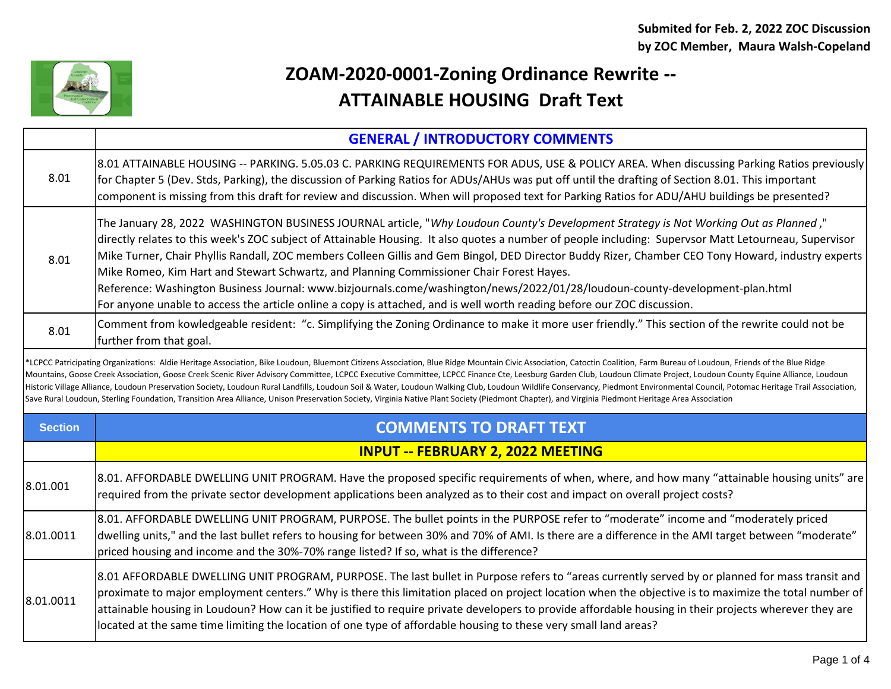

## **ZOAM-2020-0001-Zoning Ordinance Rewrite -- ATTAINABLE HOUSING Draft Text**

|                                                                                                                                                                                                                                                                                                                                                                                                                                                                                                                                                                                                                                                                                                                                                                                                                                                                                           | <b>GENERAL / INTRODUCTORY COMMENTS</b>                                                                                                                                                                                                                                                                                                                                                                                                                                                                                                                                                                                                                                                                                                                                                                     |  |
|-------------------------------------------------------------------------------------------------------------------------------------------------------------------------------------------------------------------------------------------------------------------------------------------------------------------------------------------------------------------------------------------------------------------------------------------------------------------------------------------------------------------------------------------------------------------------------------------------------------------------------------------------------------------------------------------------------------------------------------------------------------------------------------------------------------------------------------------------------------------------------------------|------------------------------------------------------------------------------------------------------------------------------------------------------------------------------------------------------------------------------------------------------------------------------------------------------------------------------------------------------------------------------------------------------------------------------------------------------------------------------------------------------------------------------------------------------------------------------------------------------------------------------------------------------------------------------------------------------------------------------------------------------------------------------------------------------------|--|
| 8.01                                                                                                                                                                                                                                                                                                                                                                                                                                                                                                                                                                                                                                                                                                                                                                                                                                                                                      | 8.01 ATTAINABLE HOUSING -- PARKING. 5.05.03 C. PARKING REQUIREMENTS FOR ADUS, USE & POLICY AREA. When discussing Parking Ratios previously<br>for Chapter 5 (Dev. Stds, Parking), the discussion of Parking Ratios for ADUs/AHUs was put off until the drafting of Section 8.01. This important<br>component is missing from this draft for review and discussion. When will proposed text for Parking Ratios for ADU/AHU buildings be presented?                                                                                                                                                                                                                                                                                                                                                          |  |
| 8.01                                                                                                                                                                                                                                                                                                                                                                                                                                                                                                                                                                                                                                                                                                                                                                                                                                                                                      | The January 28, 2022 WASHINGTON BUSINESS JOURNAL article, "Why Loudoun County's Development Strategy is Not Working Out as Planned,"<br>directly relates to this week's ZOC subject of Attainable Housing. It also quotes a number of people including: Supervsor Matt Letourneau, Supervisor<br>Mike Turner, Chair Phyllis Randall, ZOC members Colleen Gillis and Gem Bingol, DED Director Buddy Rizer, Chamber CEO Tony Howard, industry experts<br>Mike Romeo, Kim Hart and Stewart Schwartz, and Planning Commissioner Chair Forest Hayes.<br>Reference: Washington Business Journal: www.bizjournals.come/washington/news/2022/01/28/loudoun-county-development-plan.html<br>For anyone unable to access the article online a copy is attached, and is well worth reading before our ZOC discussion. |  |
| 8.01                                                                                                                                                                                                                                                                                                                                                                                                                                                                                                                                                                                                                                                                                                                                                                                                                                                                                      | Comment from kowledgeable resident: "c. Simplifying the Zoning Ordinance to make it more user friendly." This section of the rewrite could not be<br>further from that goal.                                                                                                                                                                                                                                                                                                                                                                                                                                                                                                                                                                                                                               |  |
| *LCPCC Patricipating Organizations: Aldie Heritage Association, Bike Loudoun, Bluemont Citizens Association, Blue Ridge Mountain Civic Association, Catoctin Coalition, Farm Bureau of Loudoun, Friends of the Blue Ridge<br>Mountains, Goose Creek Association, Goose Creek Scenic River Advisory Committee, LCPCC Executive Committee, LCPCC Finance Cte, Leesburg Garden Club, Loudoun Climate Project, Loudoun County Equine Alliance, Loudoun<br>Historic Village Alliance, Loudoun Preservation Society, Loudoun Rural Landfills, Loudoun Soil & Water, Loudoun Walking Club, Loudoun Wildlife Conservancy, Piedmont Environmental Council, Potomac Heritage Trail Association<br>Save Rural Loudoun, Sterling Foundation, Transition Area Alliance, Unison Preservation Society, Virginia Native Plant Society (Piedmont Chapter), and Virginia Piedmont Heritage Area Association |                                                                                                                                                                                                                                                                                                                                                                                                                                                                                                                                                                                                                                                                                                                                                                                                            |  |
| <b>Section</b>                                                                                                                                                                                                                                                                                                                                                                                                                                                                                                                                                                                                                                                                                                                                                                                                                                                                            | <b>COMMENTS TO DRAFT TEXT</b>                                                                                                                                                                                                                                                                                                                                                                                                                                                                                                                                                                                                                                                                                                                                                                              |  |
|                                                                                                                                                                                                                                                                                                                                                                                                                                                                                                                                                                                                                                                                                                                                                                                                                                                                                           | <b>INPUT -- FEBRUARY 2, 2022 MEETING</b>                                                                                                                                                                                                                                                                                                                                                                                                                                                                                                                                                                                                                                                                                                                                                                   |  |
| 8.01.001                                                                                                                                                                                                                                                                                                                                                                                                                                                                                                                                                                                                                                                                                                                                                                                                                                                                                  | 8.01. AFFORDABLE DWELLING UNIT PROGRAM. Have the proposed specific requirements of when, where, and how many "attainable housing units" are<br>required from the private sector development applications been analyzed as to their cost and impact on overall project costs?                                                                                                                                                                                                                                                                                                                                                                                                                                                                                                                               |  |
| 8.01.0011                                                                                                                                                                                                                                                                                                                                                                                                                                                                                                                                                                                                                                                                                                                                                                                                                                                                                 | 8.01. AFFORDABLE DWELLING UNIT PROGRAM, PURPOSE. The bullet points in the PURPOSE refer to "moderate" income and "moderately priced<br>dwelling units," and the last bullet refers to housing for between 30% and 70% of AMI. Is there are a difference in the AMI target between "moderate"<br>priced housing and income and the 30%-70% range listed? If so, what is the difference?                                                                                                                                                                                                                                                                                                                                                                                                                     |  |
| 8.01.0011                                                                                                                                                                                                                                                                                                                                                                                                                                                                                                                                                                                                                                                                                                                                                                                                                                                                                 | 8.01 AFFORDABLE DWELLING UNIT PROGRAM, PURPOSE. The last bullet in Purpose refers to "areas currently served by or planned for mass transit and<br>proximate to major employment centers." Why is there this limitation placed on project location when the objective is to maximize the total number of<br>attainable housing in Loudoun? How can it be justified to require private developers to provide affordable housing in their projects wherever they are<br>located at the same time limiting the location of one type of affordable housing to these very small land areas?                                                                                                                                                                                                                     |  |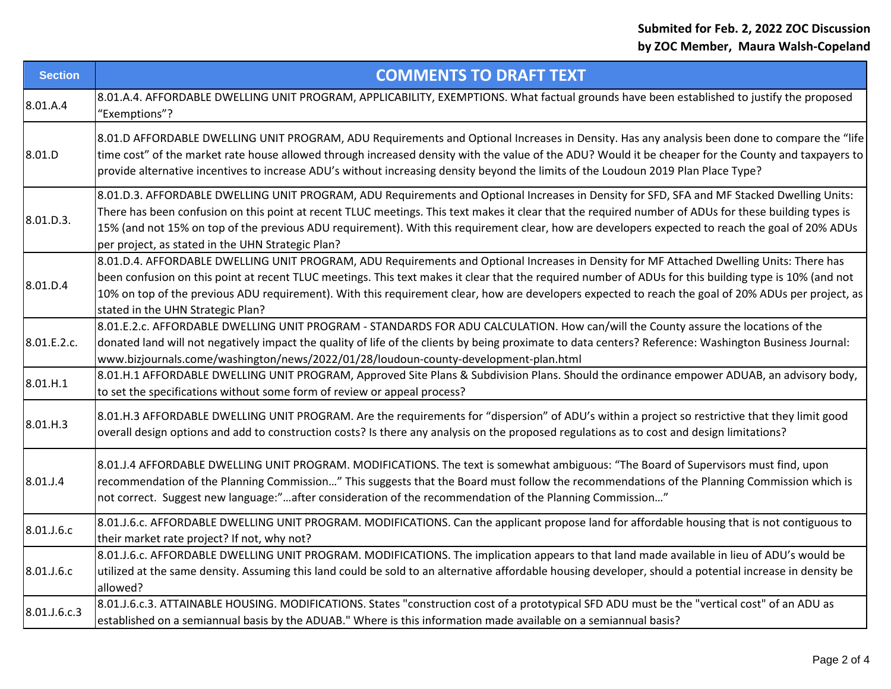| <b>Section</b> | <b>COMMENTS TO DRAFT TEXT</b>                                                                                                                                                                                                                                                                                                                                                                                                                                                                                |
|----------------|--------------------------------------------------------------------------------------------------------------------------------------------------------------------------------------------------------------------------------------------------------------------------------------------------------------------------------------------------------------------------------------------------------------------------------------------------------------------------------------------------------------|
| 8.01.A.4       | 8.01.A.4. AFFORDABLE DWELLING UNIT PROGRAM, APPLICABILITY, EXEMPTIONS. What factual grounds have been established to justify the proposed<br>"Exemptions"?                                                                                                                                                                                                                                                                                                                                                   |
| 8.01.D         | 8.01.D AFFORDABLE DWELLING UNIT PROGRAM, ADU Requirements and Optional Increases in Density. Has any analysis been done to compare the "life<br>time cost" of the market rate house allowed through increased density with the value of the ADU? Would it be cheaper for the County and taxpayers to<br>provide alternative incentives to increase ADU's without increasing density beyond the limits of the Loudoun 2019 Plan Place Type?                                                                   |
| 8.01.D.3.      | 8.01.D.3. AFFORDABLE DWELLING UNIT PROGRAM, ADU Requirements and Optional Increases in Density for SFD, SFA and MF Stacked Dwelling Units:<br>There has been confusion on this point at recent TLUC meetings. This text makes it clear that the required number of ADUs for these building types is<br>15% (and not 15% on top of the previous ADU requirement). With this requirement clear, how are developers expected to reach the goal of 20% ADUs<br>per project, as stated in the UHN Strategic Plan? |
| 8.01.D.4       | 8.01.D.4. AFFORDABLE DWELLING UNIT PROGRAM, ADU Requirements and Optional Increases in Density for MF Attached Dwelling Units: There has<br>been confusion on this point at recent TLUC meetings. This text makes it clear that the required number of ADUs for this building type is 10% (and not<br>10% on top of the previous ADU requirement). With this requirement clear, how are developers expected to reach the goal of 20% ADUs per project, as<br>stated in the UHN Strategic Plan?               |
| 8.01.E.2.c.    | 8.01.E.2.c. AFFORDABLE DWELLING UNIT PROGRAM - STANDARDS FOR ADU CALCULATION. How can/will the County assure the locations of the<br>donated land will not negatively impact the quality of life of the clients by being proximate to data centers? Reference: Washington Business Journal:<br>www.bizjournals.come/washington/news/2022/01/28/loudoun-county-development-plan.html                                                                                                                          |
| 8.01.H.1       | 8.01.H.1 AFFORDABLE DWELLING UNIT PROGRAM, Approved Site Plans & Subdivision Plans. Should the ordinance empower ADUAB, an advisory body,<br>to set the specifications without some form of review or appeal process?                                                                                                                                                                                                                                                                                        |
| 8.01.H.3       | 8.01.H.3 AFFORDABLE DWELLING UNIT PROGRAM. Are the requirements for "dispersion" of ADU's within a project so restrictive that they limit good<br>overall design options and add to construction costs? Is there any analysis on the proposed regulations as to cost and design limitations?                                                                                                                                                                                                                 |
| 8.01.J.4       | 8.01.J.4 AFFORDABLE DWELLING UNIT PROGRAM. MODIFICATIONS. The text is somewhat ambiguous: "The Board of Supervisors must find, upon<br>recommendation of the Planning Commission" This suggests that the Board must follow the recommendations of the Planning Commission which is<br>not correct. Suggest new language:"after consideration of the recommendation of the Planning Commission"                                                                                                               |
| 8.01.J.6.c     | 8.01.J.6.c. AFFORDABLE DWELLING UNIT PROGRAM. MODIFICATIONS. Can the applicant propose land for affordable housing that is not contiguous to<br>their market rate project? If not, why not?                                                                                                                                                                                                                                                                                                                  |
| 8.01.J.6.c     | 8.01.J.6.c. AFFORDABLE DWELLING UNIT PROGRAM. MODIFICATIONS. The implication appears to that land made available in lieu of ADU's would be<br>utilized at the same density. Assuming this land could be sold to an alternative affordable housing developer, should a potential increase in density be<br>allowed?                                                                                                                                                                                           |
| 8.01.J.6.c.3   | 8.01.J.6.c.3. ATTAINABLE HOUSING. MODIFICATIONS. States "construction cost of a prototypical SFD ADU must be the "vertical cost" of an ADU as<br>established on a semiannual basis by the ADUAB." Where is this information made available on a semiannual basis?                                                                                                                                                                                                                                            |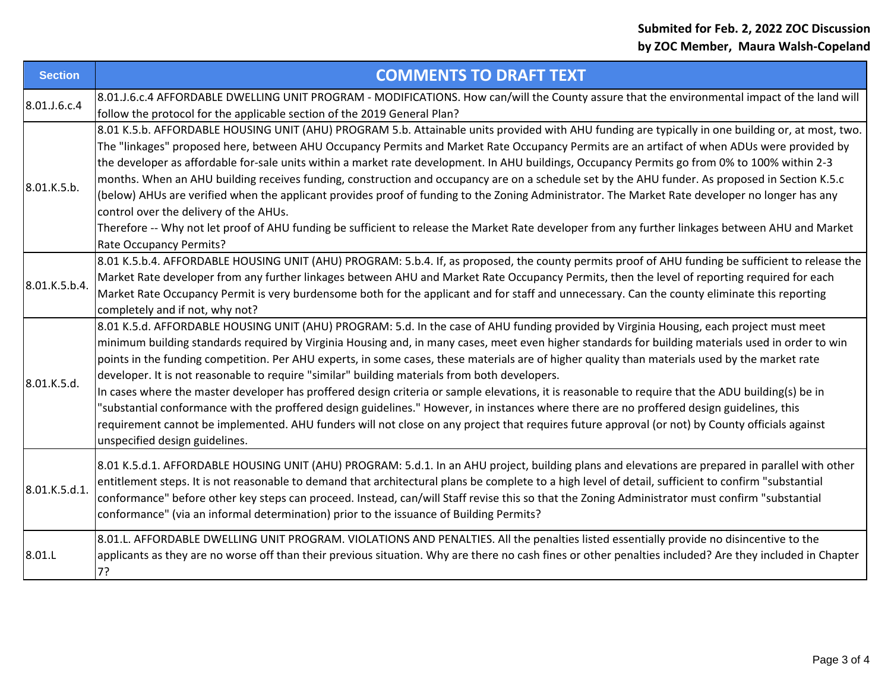| <b>Section</b> | <b>COMMENTS TO DRAFT TEXT</b>                                                                                                                                                                                                                                                                                                                                                                                                                                                                                                                                                                                                                                                                                                                                                                                                                                                                                                                                                                                                              |
|----------------|--------------------------------------------------------------------------------------------------------------------------------------------------------------------------------------------------------------------------------------------------------------------------------------------------------------------------------------------------------------------------------------------------------------------------------------------------------------------------------------------------------------------------------------------------------------------------------------------------------------------------------------------------------------------------------------------------------------------------------------------------------------------------------------------------------------------------------------------------------------------------------------------------------------------------------------------------------------------------------------------------------------------------------------------|
| 8.01.J.6.c.4   | 8.01.J.6.c.4 AFFORDABLE DWELLING UNIT PROGRAM - MODIFICATIONS. How can/will the County assure that the environmental impact of the land will<br>follow the protocol for the applicable section of the 2019 General Plan?                                                                                                                                                                                                                                                                                                                                                                                                                                                                                                                                                                                                                                                                                                                                                                                                                   |
| 8.01.K.5.b.    | 8.01 K.5.b. AFFORDABLE HOUSING UNIT (AHU) PROGRAM 5.b. Attainable units provided with AHU funding are typically in one building or, at most, two.<br>The "linkages" proposed here, between AHU Occupancy Permits and Market Rate Occupancy Permits are an artifact of when ADUs were provided by<br>the developer as affordable for-sale units within a market rate development. In AHU buildings, Occupancy Permits go from 0% to 100% within 2-3<br>months. When an AHU building receives funding, construction and occupancy are on a schedule set by the AHU funder. As proposed in Section K.5.c<br>(below) AHUs are verified when the applicant provides proof of funding to the Zoning Administrator. The Market Rate developer no longer has any<br>control over the delivery of the AHUs.<br>Therefore -- Why not let proof of AHU funding be sufficient to release the Market Rate developer from any further linkages between AHU and Market<br>Rate Occupancy Permits?                                                         |
| 8.01.K.5.b.4.  | 8.01 K.5.b.4. AFFORDABLE HOUSING UNIT (AHU) PROGRAM: 5.b.4. If, as proposed, the county permits proof of AHU funding be sufficient to release the<br>Market Rate developer from any further linkages between AHU and Market Rate Occupancy Permits, then the level of reporting required for each<br>Market Rate Occupancy Permit is very burdensome both for the applicant and for staff and unnecessary. Can the county eliminate this reporting<br>completely and if not, why not?                                                                                                                                                                                                                                                                                                                                                                                                                                                                                                                                                      |
| 8.01.K.5.d.    | 8.01 K.5.d. AFFORDABLE HOUSING UNIT (AHU) PROGRAM: 5.d. In the case of AHU funding provided by Virginia Housing, each project must meet<br>minimum building standards required by Virginia Housing and, in many cases, meet even higher standards for building materials used in order to win<br>points in the funding competition. Per AHU experts, in some cases, these materials are of higher quality than materials used by the market rate<br>developer. It is not reasonable to require "similar" building materials from both developers.<br>In cases where the master developer has proffered design criteria or sample elevations, it is reasonable to require that the ADU building(s) be in<br>'substantial conformance with the proffered design guidelines." However, in instances where there are no proffered design guidelines, this<br>requirement cannot be implemented. AHU funders will not close on any project that requires future approval (or not) by County officials against<br>unspecified design guidelines. |
| 8.01.K.5.d.1.  | 8.01 K.5.d.1. AFFORDABLE HOUSING UNIT (AHU) PROGRAM: 5.d.1. In an AHU project, building plans and elevations are prepared in parallel with other<br>entitlement steps. It is not reasonable to demand that architectural plans be complete to a high level of detail, sufficient to confirm "substantial<br>conformance" before other key steps can proceed. Instead, can/will Staff revise this so that the Zoning Administrator must confirm "substantial<br>conformance" (via an informal determination) prior to the issuance of Building Permits?                                                                                                                                                                                                                                                                                                                                                                                                                                                                                     |
| 8.01.L         | 8.01.L. AFFORDABLE DWELLING UNIT PROGRAM. VIOLATIONS AND PENALTIES. All the penalties listed essentially provide no disincentive to the<br>applicants as they are no worse off than their previous situation. Why are there no cash fines or other penalties included? Are they included in Chapter<br>7?                                                                                                                                                                                                                                                                                                                                                                                                                                                                                                                                                                                                                                                                                                                                  |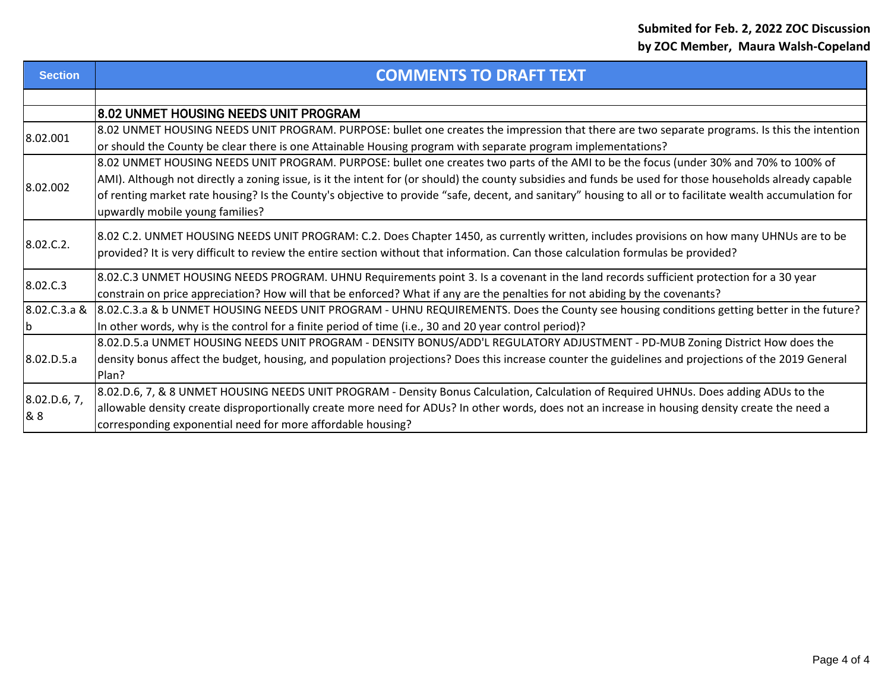| <b>Section</b>      | <b>COMMENTS TO DRAFT TEXT</b>                                                                                                                             |
|---------------------|-----------------------------------------------------------------------------------------------------------------------------------------------------------|
|                     |                                                                                                                                                           |
|                     | 8.02 UNMET HOUSING NEEDS UNIT PROGRAM                                                                                                                     |
| 8.02.001            | 8.02 UNMET HOUSING NEEDS UNIT PROGRAM. PURPOSE: bullet one creates the impression that there are two separate programs. Is this the intention             |
|                     | or should the County be clear there is one Attainable Housing program with separate program implementations?                                              |
| 8.02.002            | 8.02 UNMET HOUSING NEEDS UNIT PROGRAM. PURPOSE: bullet one creates two parts of the AMI to be the focus (under 30% and 70% to 100% of                     |
|                     | AMI). Although not directly a zoning issue, is it the intent for (or should) the county subsidies and funds be used for those households already capable  |
|                     | of renting market rate housing? Is the County's objective to provide "safe, decent, and sanitary" housing to all or to facilitate wealth accumulation for |
|                     | upwardly mobile young families?                                                                                                                           |
|                     | 8.02 C.2. UNMET HOUSING NEEDS UNIT PROGRAM: C.2. Does Chapter 1450, as currently written, includes provisions on how many UHNUs are to be                 |
| 8.02.C.2.           | provided? It is very difficult to review the entire section without that information. Can those calculation formulas be provided?                         |
|                     |                                                                                                                                                           |
| 8.02.C.3            | 8.02.C.3 UNMET HOUSING NEEDS PROGRAM. UHNU Requirements point 3. Is a covenant in the land records sufficient protection for a 30 year                    |
|                     | constrain on price appreciation? How will that be enforced? What if any are the penalties for not abiding by the covenants?                               |
|                     | 8.02.C.3.a & 8.02.C.3.a & b UNMET HOUSING NEEDS UNIT PROGRAM - UHNU REQUIREMENTS. Does the County see housing conditions getting better in the future?    |
| b                   | In other words, why is the control for a finite period of time (i.e., 30 and 20 year control period)?                                                     |
| 8.02.D.5.a          | 8.02.D.5.a UNMET HOUSING NEEDS UNIT PROGRAM - DENSITY BONUS/ADD'L REGULATORY ADJUSTMENT - PD-MUB Zoning District How does the                             |
|                     | density bonus affect the budget, housing, and population projections? Does this increase counter the guidelines and projections of the 2019 General       |
|                     | Plan?                                                                                                                                                     |
| 8.02.D.6, 7,<br>& 8 | 8.02.D.6, 7, & 8 UNMET HOUSING NEEDS UNIT PROGRAM - Density Bonus Calculation, Calculation of Required UHNUs. Does adding ADUs to the                     |
|                     | allowable density create disproportionally create more need for ADUs? In other words, does not an increase in housing density create the need a           |
|                     | corresponding exponential need for more affordable housing?                                                                                               |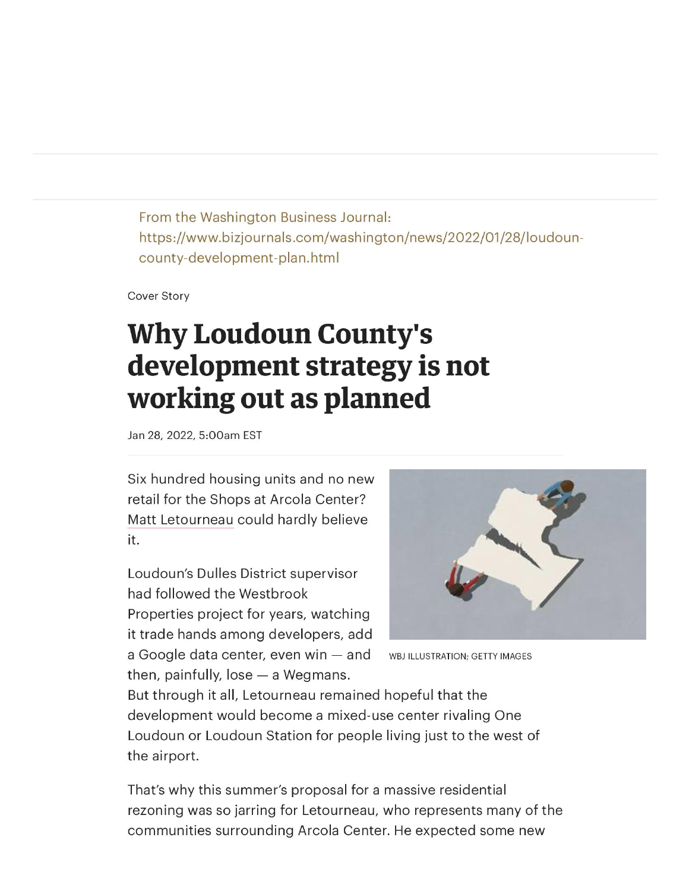From the Washington Business Journal: https://www.bizjournals.com/washington/news/2022/01/28/loudouncounty-development-plan.html

**Cover Story** 

# **Why Loudoun County's** development strategy is not working out as planned

Jan 28, 2022, 5:00am EST

Six hundred housing units and no new retail for the Shops at Arcola Center? Matt Letourneau could hardly believe it.

Loudoun's Dulles District supervisor had followed the Westbrook Properties project for years, watching it trade hands among developers, add a Google data center, even win - and then, painfully,  $lose - a Wegmans$ .



WBJ ILLUSTRATION; GETTY IMAGES

But through it all, Letourneau remained hopeful that the development would become a mixed-use center rivaling One Loudoun or Loudoun Station for people living just to the west of the airport.

That's why this summer's proposal for a massive residential rezoning was so jarring for Letourneau, who represents many of the communities surrounding Arcola Center. He expected some new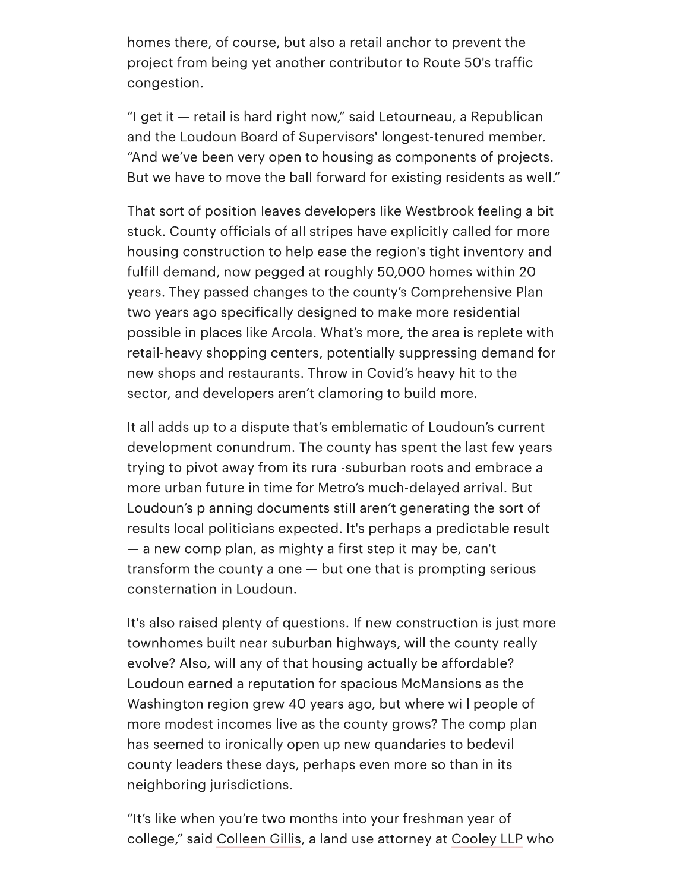homes there, of course, but also a retail anchor to prevent the project from being yet another contributor to Route 50's traffic congestion.

"I get it – retail is hard right now," said Letourneau, a Republican and the Loudoun Board of Supervisors' longest-tenured member. "And we've been very open to housing as components of projects. But we have to move the ball forward for existing residents as well."

That sort of position leaves developers like Westbrook feeling a bit stuck. County officials of all stripes have explicitly called for more housing construction to help ease the region's tight inventory and fulfill demand, now pegged at roughly 50,000 homes within 20 years. They passed changes to the county's Comprehensive Plan two years ago specifically designed to make more residential possible in places like Arcola. What's more, the area is replete with retail-heavy shopping centers, potentially suppressing demand for new shops and restaurants. Throw in Covid's heavy hit to the sector, and developers aren't clamoring to build more.

It all adds up to a dispute that's emblematic of Loudoun's current development conundrum. The county has spent the last few years trying to pivot away from its rural-suburban roots and embrace a more urban future in time for Metro's much-delayed arrival. But Loudoun's planning documents still aren't generating the sort of results local politicians expected. It's perhaps a predictable result - a new comp plan, as mighty a first step it may be, can't transform the county alone – but one that is prompting serious consternation in Loudoun.

It's also raised plenty of questions. If new construction is just more townhomes built near suburban highways, will the county really evolve? Also, will any of that housing actually be affordable? Loudoun earned a reputation for spacious McMansions as the Washington region grew 40 years ago, but where will people of more modest incomes live as the county grows? The comp plan has seemed to ironically open up new quandaries to bedevil county leaders these days, perhaps even more so than in its neighboring jurisdictions.

"It's like when you're two months into your freshman year of college," said Colleen Gillis, a land use attorney at Cooley LLP who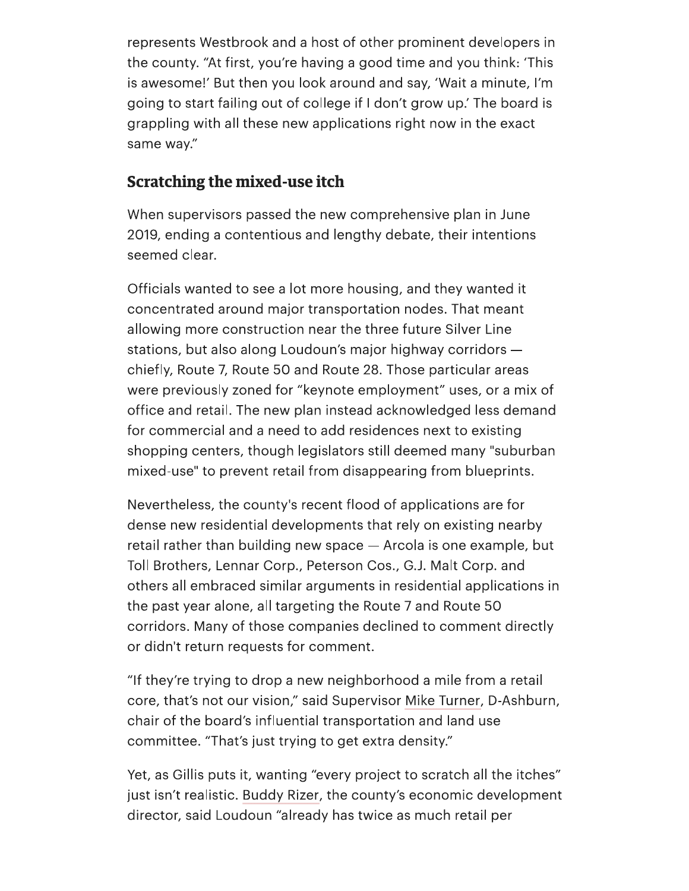represents Westbrook and a host of other prominent developers in the county. "At first, you're having a good time and you think: 'This is awesome!' But then you look around and say, 'Wait a minute, I'm going to start failing out of college if I don't grow up.' The board is grappling with all these new applications right now in the exact same way."

#### **Scratching the mixed-use itch**

When supervisors passed the new comprehensive plan in June 2019, ending a contentious and lengthy debate, their intentions seemed clear.

Officials wanted to see a lot more housing, and they wanted it concentrated around major transportation nodes. That meant allowing more construction near the three future Silver Line stations, but also along Loudoun's major highway corridors chiefly, Route 7, Route 50 and Route 28. Those particular areas were previously zoned for "keynote employment" uses, or a mix of office and retail. The new plan instead acknowledged less demand for commercial and a need to add residences next to existing shopping centers, though legislators still deemed many "suburban mixed-use" to prevent retail from disappearing from blueprints.

Nevertheless, the county's recent flood of applications are for dense new residential developments that rely on existing nearby retail rather than building new space - Arcola is one example, but Toll Brothers, Lennar Corp., Peterson Cos., G.J. Malt Corp. and others all embraced similar arguments in residential applications in the past year alone, all targeting the Route 7 and Route 50 corridors. Many of those companies declined to comment directly or didn't return requests for comment.

"If they're trying to drop a new neighborhood a mile from a retail core, that's not our vision," said Supervisor Mike Turner, D-Ashburn, chair of the board's influential transportation and land use committee. "That's just trying to get extra density."

Yet, as Gillis puts it, wanting "every project to scratch all the itches" just isn't realistic. Buddy Rizer, the county's economic development director, said Loudoun "already has twice as much retail per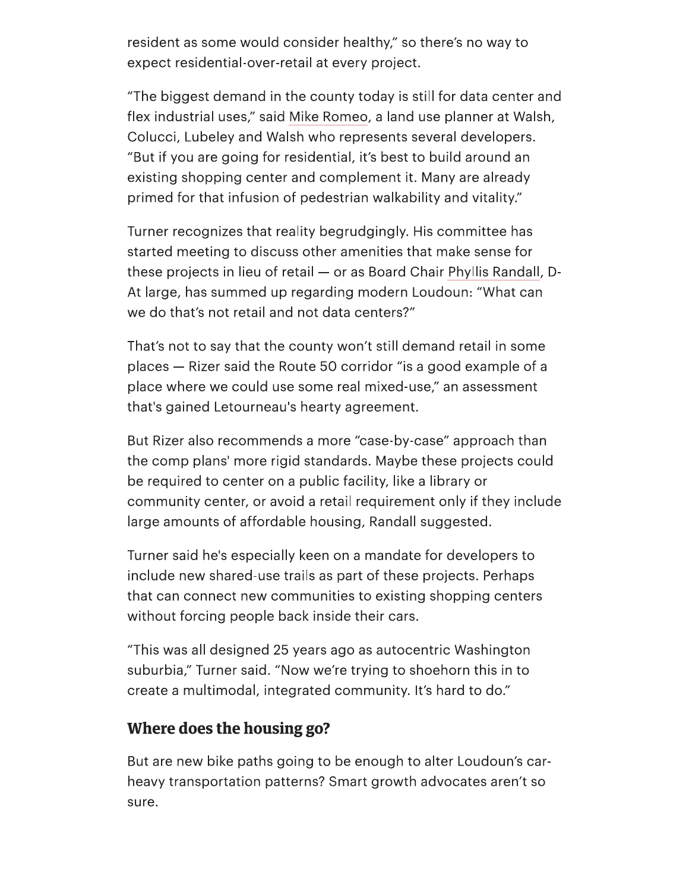resident as some would consider healthy," so there's no way to expect residential-over-retail at every project.

"The biggest demand in the county today is still for data center and flex industrial uses," said Mike Romeo, a land use planner at Walsh, Colucci, Lubeley and Walsh who represents several developers. "But if you are going for residential, it's best to build around an existing shopping center and complement it. Many are already primed for that infusion of pedestrian walkability and vitality."

Turner recognizes that reality begrudgingly. His committee has started meeting to discuss other amenities that make sense for these projects in lieu of retail - or as Board Chair Phyllis Randall, D-At large, has summed up regarding modern Loudoun: "What can we do that's not retail and not data centers?"

That's not to say that the county won't still demand retail in some places – Rizer said the Route 50 corridor "is a good example of a place where we could use some real mixed-use," an assessment that's gained Letourneau's hearty agreement.

But Rizer also recommends a more "case-by-case" approach than the comp plans' more rigid standards. Maybe these projects could be required to center on a public facility, like a library or community center, or avoid a retail requirement only if they include large amounts of affordable housing, Randall suggested.

Turner said he's especially keen on a mandate for developers to include new shared-use trails as part of these projects. Perhaps that can connect new communities to existing shopping centers without forcing people back inside their cars.

"This was all designed 25 years ago as autocentric Washington suburbia," Turner said. "Now we're trying to shoehorn this in to create a multimodal, integrated community. It's hard to do."

#### Where does the housing go?

But are new bike paths going to be enough to alter Loudoun's carheavy transportation patterns? Smart growth advocates aren't so sure.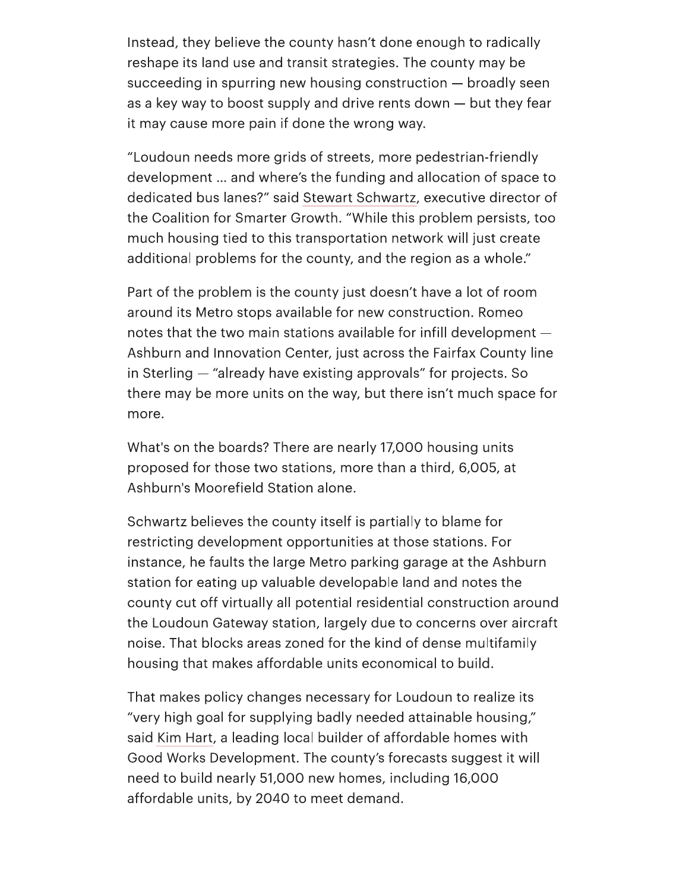Instead, they believe the county hasn't done enough to radically reshape its land use and transit strategies. The county may be succeeding in spurring new housing construction – broadly seen as a key way to boost supply and drive rents down – but they fear it may cause more pain if done the wrong way.

"Loudoun needs more grids of streets, more pedestrian-friendly development ... and where's the funding and allocation of space to dedicated bus lanes?" said Stewart Schwartz, executive director of the Coalition for Smarter Growth. "While this problem persists, too much housing tied to this transportation network will just create additional problems for the county, and the region as a whole."

Part of the problem is the county just doesn't have a lot of room around its Metro stops available for new construction. Romeo notes that the two main stations available for infill development -Ashburn and Innovation Center, just across the Fairfax County line in Sterling – "already have existing approvals" for projects. So there may be more units on the way, but there isn't much space for more.

What's on the boards? There are nearly 17,000 housing units proposed for those two stations, more than a third, 6,005, at Ashburn's Moorefield Station alone.

Schwartz believes the county itself is partially to blame for restricting development opportunities at those stations. For instance, he faults the large Metro parking garage at the Ashburn station for eating up valuable developable land and notes the county cut off virtually all potential residential construction around the Loudoun Gateway station, largely due to concerns over aircraft noise. That blocks areas zoned for the kind of dense multifamily housing that makes affordable units economical to build.

That makes policy changes necessary for Loudoun to realize its "very high goal for supplying badly needed attainable housing," said Kim Hart, a leading local builder of affordable homes with Good Works Development. The county's forecasts suggest it will need to build nearly 51,000 new homes, including 16,000 affordable units, by 2040 to meet demand.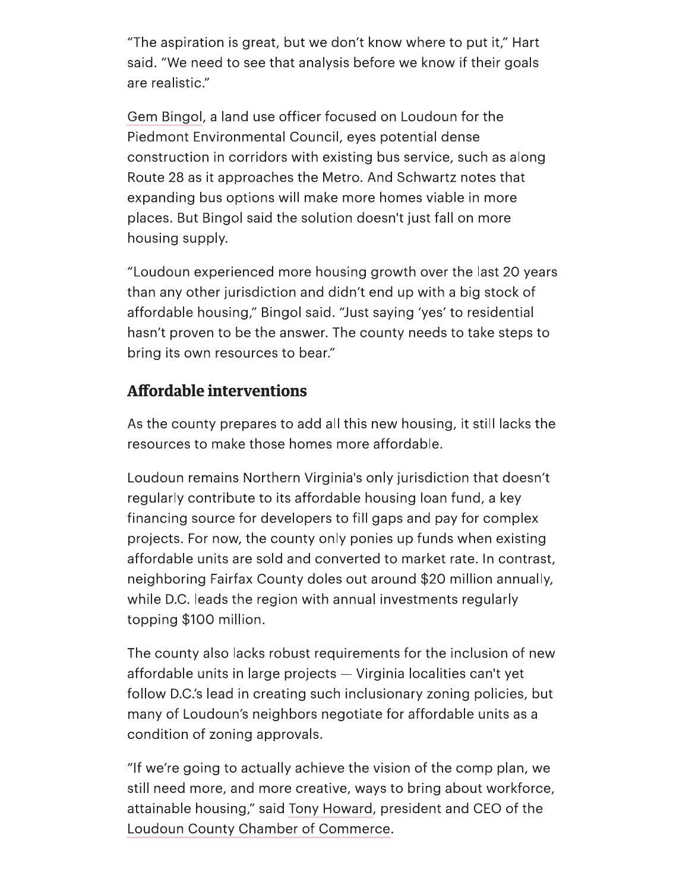"The aspiration is great, but we don't know where to put it," Hart said. "We need to see that analysis before we know if their goals are realistic."

Gem Bingol, a land use officer focused on Loudoun for the Piedmont Environmental Council, eyes potential dense construction in corridors with existing bus service, such as along Route 28 as it approaches the Metro. And Schwartz notes that expanding bus options will make more homes viable in more places. But Bingol said the solution doesn't just fall on more housing supply.

"Loudoun experienced more housing growth over the last 20 years than any other jurisdiction and didn't end up with a big stock of affordable housing," Bingol said. "Just saying 'yes' to residential hasn't proven to be the answer. The county needs to take steps to bring its own resources to bear."

### **Affordable interventions**

As the county prepares to add all this new housing, it still lacks the resources to make those homes more affordable.

Loudoun remains Northern Virginia's only jurisdiction that doesn't regularly contribute to its affordable housing loan fund, a key financing source for developers to fill gaps and pay for complex projects. For now, the county only ponies up funds when existing affordable units are sold and converted to market rate. In contrast, neighboring Fairfax County doles out around \$20 million annually, while D.C. leads the region with annual investments regularly topping \$100 million.

The county also lacks robust requirements for the inclusion of new affordable units in large projects - Virginia localities can't yet follow D.C.'s lead in creating such inclusionary zoning policies, but many of Loudoun's neighbors negotiate for affordable units as a condition of zoning approvals.

"If we're going to actually achieve the vision of the comp plan, we still need more, and more creative, ways to bring about workforce, attainable housing," said Tony Howard, president and CEO of the Loudoun County Chamber of Commerce.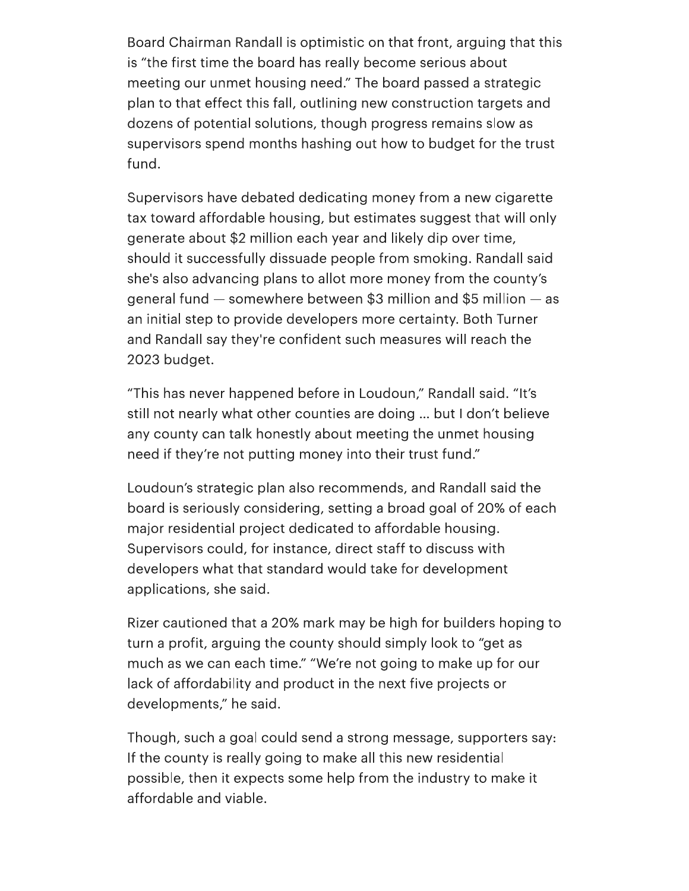Board Chairman Randall is optimistic on that front, arguing that this is "the first time the board has really become serious about meeting our unmet housing need." The board passed a strategic plan to that effect this fall, outlining new construction targets and dozens of potential solutions, though progress remains slow as supervisors spend months hashing out how to budget for the trust fund.

Supervisors have debated dedicating money from a new cigarette tax toward affordable housing, but estimates suggest that will only generate about \$2 million each year and likely dip over time, should it successfully dissuade people from smoking. Randall said she's also advancing plans to allot more money from the county's general fund  $-$  somewhere between \$3 million and \$5 million  $-$  as an initial step to provide developers more certainty. Both Turner and Randall say they're confident such measures will reach the 2023 budget.

"This has never happened before in Loudoun," Randall said. "It's still not nearly what other counties are doing ... but I don't believe any county can talk honestly about meeting the unmet housing need if they're not putting money into their trust fund."

Loudoun's strategic plan also recommends, and Randall said the board is seriously considering, setting a broad goal of 20% of each major residential project dedicated to affordable housing. Supervisors could, for instance, direct staff to discuss with developers what that standard would take for development applications, she said.

Rizer cautioned that a 20% mark may be high for builders hoping to turn a profit, arguing the county should simply look to "get as much as we can each time." "We're not going to make up for our lack of affordability and product in the next five projects or developments," he said.

Though, such a goal could send a strong message, supporters say: If the county is really going to make all this new residential possible, then it expects some help from the industry to make it affordable and viable.